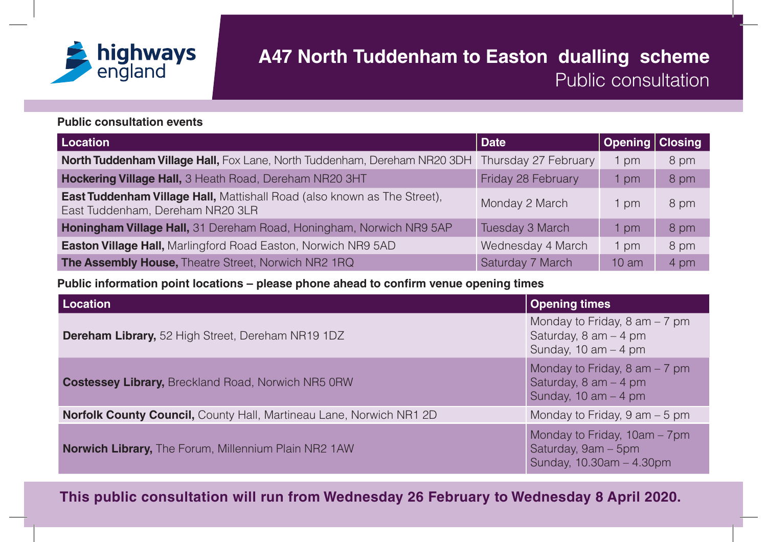

## **A47 North Tuddenham to Easton dualling scheme**  Public consultation

## **Public consultation events**

| <b>Location</b>                                                                                                     | <b>Date</b>          | <b>Opening   Closing</b> |      |
|---------------------------------------------------------------------------------------------------------------------|----------------------|--------------------------|------|
| <b>North Tuddenham Village Hall, Fox Lane, North Tuddenham, Dereham NR20 3DH</b>                                    | Thursday 27 February | pm                       | 8 pm |
| Hockering Village Hall, 3 Heath Road, Dereham NR20 3HT                                                              | Friday 28 February   | pm                       | 8 pm |
| <b>East Tuddenham Village Hall, Mattishall Road (also known as The Street).</b><br>East Tuddenham, Dereham NR20 3LR | Monday 2 March       | l pm                     | 8 pm |
| Honingham Village Hall, 31 Dereham Road, Honingham, Norwich NR9 5AP                                                 | Tuesday 3 March      | l pm                     | 8 pm |
| <b>Easton Village Hall, Marlingford Road Easton, Norwich NR9 5AD</b>                                                | Wednesday 4 March    | l pm                     | 8 pm |
| The Assembly House, Theatre Street, Norwich NR2 1RQ                                                                 | Saturday 7 March     | 10 <sub>am</sub>         | 4 pm |

**Public information point locations – please phone ahead to con !rm venue opening times**

| Location                                                                   | <b>Opening times</b>                                                                                   |
|----------------------------------------------------------------------------|--------------------------------------------------------------------------------------------------------|
| <b>Dereham Library, 52 High Street, Dereham NR19 1DZ</b>                   | Monday to Friday, $8 \text{ am} - 7 \text{ pm}$<br>Saturday, $8$ am $-$ 4 pm<br>Sunday, 10 am $-$ 4 pm |
| <b>Costessey Library, Breckland Road, Norwich NR5 ORW</b>                  | Monday to Friday, $8 \text{ am} - 7 \text{ pm}$<br>Saturday, $8$ am $-$ 4 pm<br>Sunday, 10 am $-$ 4 pm |
| <b>Norfolk County Council, County Hall, Martineau Lane, Norwich NR1 2D</b> | Monday to Friday, $9 \text{ am} - 5 \text{ pm}$                                                        |
| <b>Norwich Library, The Forum, Millennium Plain NR2 1AW</b>                | Monday to Friday, 10am - 7pm<br>Saturday, 9am - 5pm<br>Sunday, 10.30am - 4.30pm                        |

**This public consultation will run from Wednesday 26 February to Wednesday 8 April 2020.**